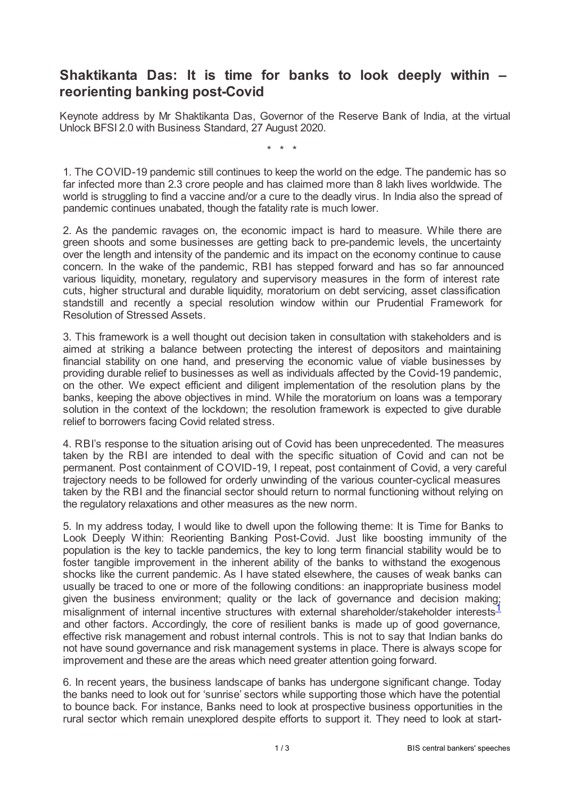## **Shaktikanta Das: It is time for banks to look deeply within – reorienting banking post-Covid**

Keynote address by Mr Shaktikanta Das, Governor of the Reserve Bank of India, at the virtual Unlock BFSI 2.0 with Business Standard, 27 August 2020.

\* \* \*

1. The COVID-19 pandemic still continues to keep the world on the edge. The pandemic has so far infected more than 2.3 crore people and has claimed more than 8 lakh lives worldwide. The world is struggling to find a vaccine and/or a cure to the deadly virus. In India also the spread of pandemic continues unabated, though the fatality rate is much lower.

2. As the pandemic ravages on, the economic impact is hard to measure. While there are green shoots and some businesses are getting back to pre-pandemic levels, the uncertainty over the length and intensity of the pandemic and its impact on the economy continue to cause concern. In the wake of the pandemic, RBI has stepped forward and has so far announced various liquidity, monetary, regulatory and supervisory measures in the form of interest rate cuts, higher structural and durable liquidity, moratorium on debt servicing, asset classification standstill and recently a special resolution window within our Prudential Framework for Resolution of Stressed Assets.

3. This framework is a well thought out decision taken in consultation with stakeholders and is aimed at striking a balance between protecting the interest of depositors and maintaining financial stability on one hand, and preserving the economic value of viable businesses by providing durable relief to businesses as well as individuals affected by the Covid-19 pandemic, on the other. We expect efficient and diligent implementation of the resolution plans by the banks, keeping the above objectives in mind. While the moratorium on loans was a temporary solution in the context of the lockdown; the resolution framework is expected to give durable relief to borrowers facing Covid related stress.

4. RBI's response to the situation arising out of Covid has been unprecedented. The measures taken by the RBI are intended to deal with the specific situation of Covid and can not be permanent. Post containment of COVID-19, I repeat, post containment of Covid, a very careful trajectory needs to be followed for orderly unwinding of the various counter-cyclical measures taken by the RBI and the financial sector should return to normal functioning without relying on the regulatory relaxations and other measures as the new norm.

5. In my address today, I would like to dwell upon the following theme: It is Time for Banks to Look Deeply Within: Reorienting Banking Post-Covid. Just like boosting immunity of the population is the key to tackle pandemics, the key to long term financial stability would be to foster tangible improvement in the inherent ability of the banks to withstand the exogenous shocks like the current pandemic. As I have stated elsewhere, the causes of weak banks can usually be traced to one or more of the following conditions: an inappropriate business model given the business environment; quality or the lack of governance and decision making; misalignment of internal incentive structures with external shareholder/stakeholder interests<sup>[1](#page-2-0)</sup> and other factors. Accordingly, the core of resilient banks is made up of good governance, effective risk management and robust internal controls. This is not to say that Indian banks do not have sound governance and risk management systems in place. There is always scope for improvement and these are the areas which need greater attention going forward.

<span id="page-0-0"></span>6. In recent years, the business landscape of banks has undergone significant change. Today the banks need to look out for 'sunrise' sectors while supporting those which have the potential to bounce back. For instance, Banks need to look at prospective business opportunities in the rural sector which remain unexplored despite efforts to support it. They need to look at start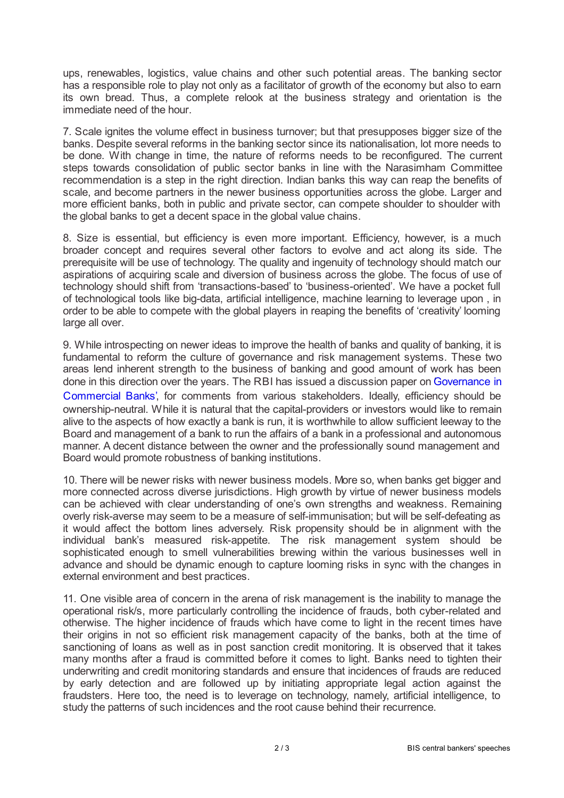ups, renewables, logistics, value chains and other such potential areas. The banking sector has a responsible role to play not only as a facilitator of growth of the economy but also to earn its own bread. Thus, a complete relook at the business strategy and orientation is the immediate need of the hour.

7. Scale ignites the volume effect in business turnover; but that presupposes bigger size of the banks. Despite several reforms in the banking sector since its nationalisation, lot more needs to be done. With change in time, the nature of reforms needs to be reconfigured. The current steps towards consolidation of public sector banks in line with the Narasimham Committee recommendation is a step in the right direction. Indian banks this way can reap the benefits of scale, and become partners in the newer business opportunities across the globe. Larger and more efficient banks, both in public and private sector, can compete shoulder to shoulder with the global banks to get a decent space in the global value chains.

8. Size is essential, but efficiency is even more important. Efficiency, however, is a much broader concept and requires several other factors to evolve and act along its side. The prerequisite will be use of technology. The quality and ingenuity of technology should match our aspirations of acquiring scale and diversion of business across the globe. The focus of use of technology should shift from 'transactions-based' to 'business-oriented'. We have a pocket full of technological tools like big-data, artificial intelligence, machine learning to leverage upon , in order to be able to compete with the global players in reaping the benefits of 'creativity' looming large all over.

9. While introspecting on newer ideas to improve the health of banks and quality of banking, it is fundamental to reform the culture of governance and risk management systems. These two areas lend inherent strength to the business of banking and good amount of work has been done in this direction over the years. The RBI has issued a discussion paper on Governance in Commercial Banks', for comments from various [stakeholders.](rbidocs.rbi.org.in/rdocs/Publications/PDFs/DISCUSSION08CA382F39604B10B420A8A43B0DB0C1.PDF) Ideally, efficiency should be ownership-neutral. While it is natural that the capital-providers or investors would like to remain alive to the aspects of how exactly a bank is run, it is worthwhile to allow sufficient leeway to the Board and management of a bank to run the affairs of a bank in a professional and autonomous manner. A decent distance between the owner and the professionally sound management and Board would promote robustness of banking institutions.

10. There will be newer risks with newer business models. More so, when banks get bigger and more connected across diverse jurisdictions. High growth by virtue of newer business models can be achieved with clear understanding of one's own strengths and weakness. Remaining overly risk-averse may seem to be a measure of self-immunisation; but will be self-defeating as it would affect the bottom lines adversely. Risk propensity should be in alignment with the individual bank's measured risk-appetite. The risk management system should be sophisticated enough to smell vulnerabilities brewing within the various businesses well in advance and should be dynamic enough to capture looming risks in sync with the changes in external environment and best practices.

11. One visible area of concern in the arena of risk management is the inability to manage the operational risk/s, more particularly controlling the incidence of frauds, both cyber-related and otherwise. The higher incidence of frauds which have come to light in the recent times have their origins in not so efficient risk management capacity of the banks, both at the time of sanctioning of loans as well as in post sanction credit monitoring. It is observed that it takes many months after a fraud is committed before it comes to light. Banks need to tighten their underwriting and credit monitoring standards and ensure that incidences of frauds are reduced by early detection and are followed up by initiating appropriate legal action against the fraudsters. Here too, the need is to leverage on technology, namely, artificial intelligence, to study the patterns of such incidences and the root cause behind their recurrence.